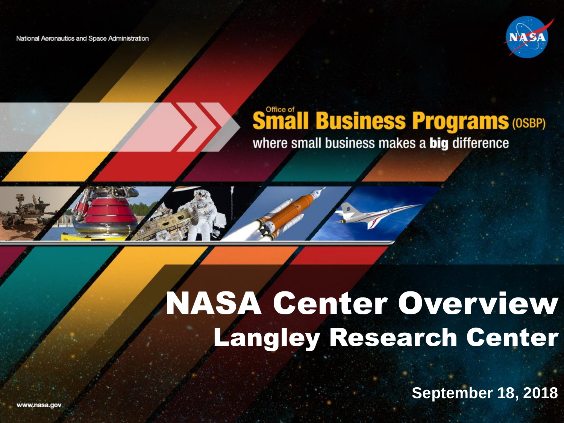National Aeronautics and Space Administration



#### **Småll Business Programs (OSBP)** where small business makes a big difference



### NASA Center Overview Langley Research Center

**September 18, 2018**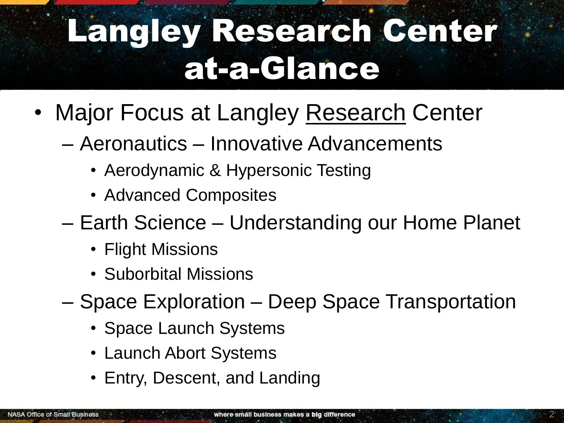## Langley Research Center at-a-Glance

- Major Focus at Langley Research Center
	- Aeronautics Innovative Advancements
		- Aerodynamic & Hypersonic Testing
		- Advanced Composites
	- Earth Science Understanding our Home Planet
		- Flight Missions
		- Suborbital Missions
	- Space Exploration Deep Space Transportation
		- Space Launch Systems
		- Launch Abort Systems
		- Entry, Descent, and Landing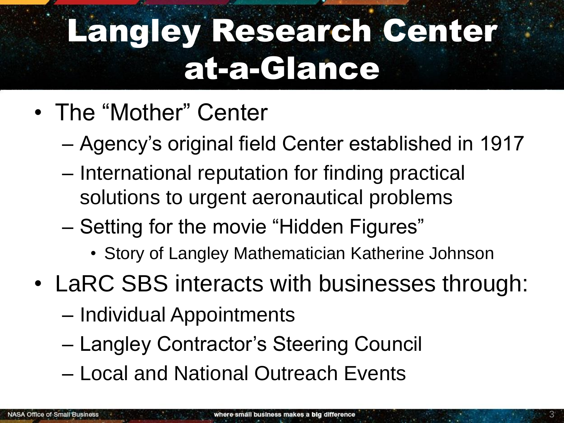## Langley Research Center at-a-Glance

- The "Mother" Center
	- Agency's original field Center established in 1917
	- International reputation for finding practical solutions to urgent aeronautical problems
	- Setting for the movie "Hidden Figures"
		- Story of Langley Mathematician Katherine Johnson
- LaRC SBS interacts with businesses through:
	- Individual Appointments
	- Langley Contractor's Steering Council
	- Local and National Outreach Events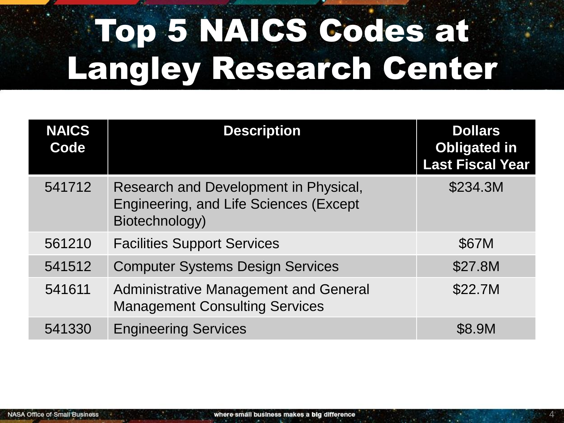# Top 5 NAICS Codes at Langley Research Center

| <b>NAICS</b><br>Code | <b>Description</b>                                                                                | <b>Dollars</b><br><b>Obligated in</b><br><b>Last Fiscal Year</b> |
|----------------------|---------------------------------------------------------------------------------------------------|------------------------------------------------------------------|
| 541712               | Research and Development in Physical,<br>Engineering, and Life Sciences (Except<br>Biotechnology) | \$234.3M                                                         |
| 561210               | <b>Facilities Support Services</b>                                                                | \$67M                                                            |
| 541512               | <b>Computer Systems Design Services</b>                                                           | \$27.8M                                                          |
| 541611               | <b>Administrative Management and General</b><br><b>Management Consulting Services</b>             | \$22.7M                                                          |
| 541330               | <b>Engineering Services</b>                                                                       | \$8.9M                                                           |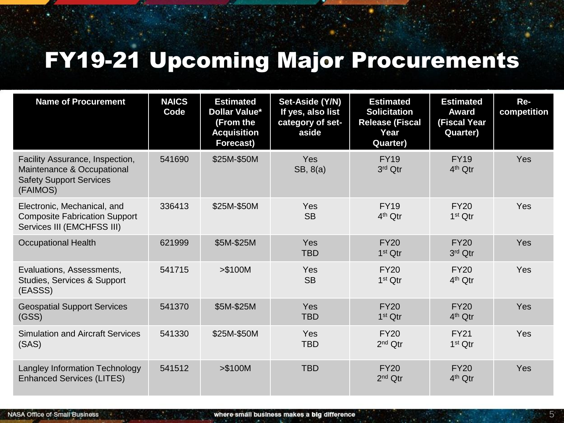#### FY19-21 Upcoming Major Procurements

| <b>Name of Procurement</b>                                                                                  | <b>NAICS</b><br>Code | <b>Estimated</b><br><b>Dollar Value*</b><br>(From the<br><b>Acquisition</b><br>Forecast) | Set-Aside (Y/N)<br>If yes, also list<br>category of set-<br>aside | <b>Estimated</b><br><b>Solicitation</b><br><b>Release (Fiscal</b><br>Year<br>Quarter) | <b>Estimated</b><br><b>Award</b><br>(Fiscal Year<br>Quarter) | Re-<br>competition |
|-------------------------------------------------------------------------------------------------------------|----------------------|------------------------------------------------------------------------------------------|-------------------------------------------------------------------|---------------------------------------------------------------------------------------|--------------------------------------------------------------|--------------------|
| Facility Assurance, Inspection,<br>Maintenance & Occupational<br><b>Safety Support Services</b><br>(FAIMOS) | 541690               | \$25M-\$50M                                                                              | Yes<br>SB, 8(a)                                                   | <b>FY19</b><br>3rd Qtr                                                                | <b>FY19</b><br>$4th$ Qtr                                     | Yes                |
| Electronic, Mechanical, and<br><b>Composite Fabrication Support</b><br>Services III (EMCHFSS III)           | 336413               | \$25M-\$50M                                                                              | Yes<br><b>SB</b>                                                  | <b>FY19</b><br>$4th$ Qtr                                                              | <b>FY20</b><br>$1st$ Qtr                                     | Yes                |
| <b>Occupational Health</b>                                                                                  | 621999               | \$5M-\$25M                                                                               | Yes<br><b>TBD</b>                                                 | <b>FY20</b><br>1 <sup>st</sup> Qtr                                                    | <b>FY20</b><br>3rd Qtr                                       | <b>Yes</b>         |
| Evaluations, Assessments,<br>Studies, Services & Support<br>(EASSS)                                         | 541715               | $> $100M$                                                                                | Yes<br><b>SB</b>                                                  | <b>FY20</b><br>$1st$ Qtr                                                              | <b>FY20</b><br>$4th$ Qtr                                     | Yes                |
| <b>Geospatial Support Services</b><br>(GSS)                                                                 | 541370               | \$5M-\$25M                                                                               | Yes<br><b>TBD</b>                                                 | <b>FY20</b><br>1 <sup>st</sup> Qtr                                                    | <b>FY20</b><br>$4th$ Qtr                                     | <b>Yes</b>         |
| <b>Simulation and Aircraft Services</b><br>(SAS)                                                            | 541330               | \$25M-\$50M                                                                              | Yes<br><b>TBD</b>                                                 | <b>FY20</b><br>2 <sup>nd</sup> Qtr                                                    | <b>FY21</b><br>$1st$ Qtr                                     | Yes                |
| Langley Information Technology<br><b>Enhanced Services (LITES)</b>                                          | 541512               | > \$100M                                                                                 | <b>TBD</b>                                                        | <b>FY20</b><br>$2nd$ Qtr                                                              | <b>FY20</b><br>$4th$ Qtr                                     | <b>Yes</b>         |